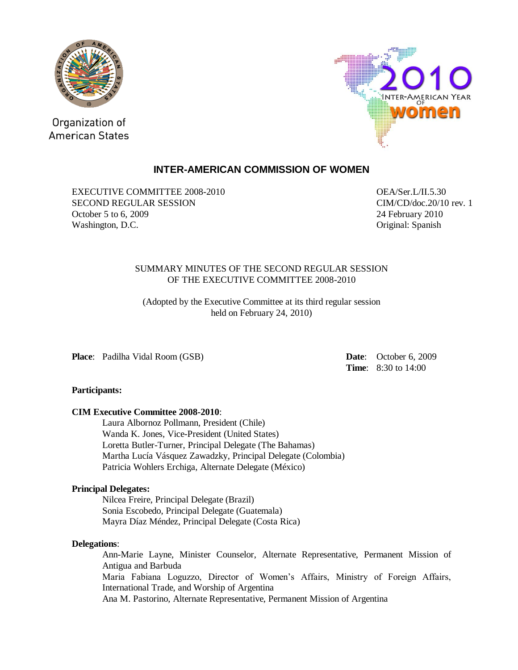

Organization of **American States** 



# **INTER-AMERICAN COMMISSION OF WOMEN**

EXECUTIVE COMMITTEE 2008-2010 OEA/Ser.L/II.5.30 SECOND REGULAR SESSION CIM/CD/doc.20/10 rev. 1 October 5 to 6, 2009 24 February 2010 Washington, D.C. **Cancer and Contact Contact Contact Contact Contact Contact Contact Contact Contact Contact Contact Contact Contact Contact Contact Contact Contact Contact Contact Contact Contact Contact Contact Contact C** 

### SUMMARY MINUTES OF THE SECOND REGULAR SESSION OF THE EXECUTIVE COMMITTEE 2008-2010

(Adopted by the Executive Committee at its third regular session held on February 24, 2010)

**Place**: Padilha Vidal Room (GSB) **Date**: October 6, 2009

**Time**: 8:30 to 14:00

## **Participants:**

## **CIM Executive Committee 2008-2010**:

Laura Albornoz Pollmann, President (Chile) Wanda K. Jones, Vice-President (United States) Loretta Butler-Turner, Principal Delegate (The Bahamas) Martha Lucía Vásquez Zawadzky, Principal Delegate (Colombia) Patricia Wohlers Erchiga, Alternate Delegate (México)

### **Principal Delegates:**

Nilcea Freire, Principal Delegate (Brazil) Sonia Escobedo, Principal Delegate (Guatemala) Mayra Díaz Méndez, Principal Delegate (Costa Rica)

### **Delegations**:

Ann-Marie Layne, Minister Counselor, Alternate Representative, Permanent Mission of Antigua and Barbuda Maria Fabiana Loguzzo, Director of Women's Affairs, Ministry of Foreign Affairs, International Trade, and Worship of Argentina Ana M. Pastorino, Alternate Representative, Permanent Mission of Argentina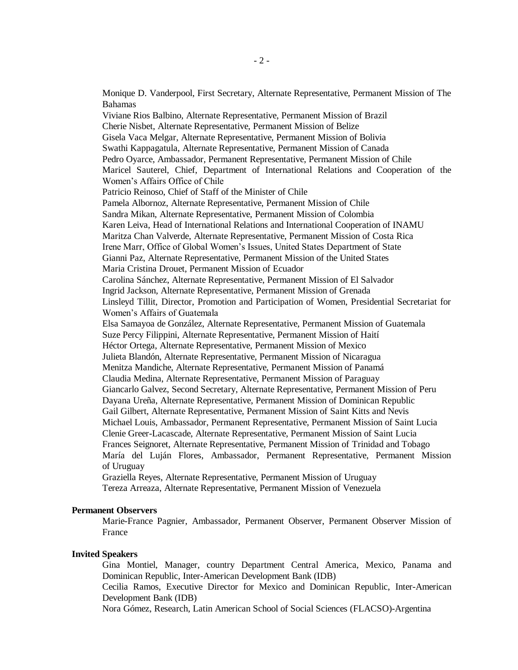Monique D. Vanderpool, First Secretary, Alternate Representative, Permanent Mission of The Bahamas Viviane Rios Balbino, Alternate Representative, Permanent Mission of Brazil Cherie Nisbet, Alternate Representative, Permanent Mission of Belize Gisela Vaca Melgar, Alternate Representative, Permanent Mission of Bolivia Swathi Kappagatula, Alternate Representative, Permanent Mission of Canada Pedro Oyarce, Ambassador, Permanent Representative, Permanent Mission of Chile Maricel Sauterel, Chief, Department of International Relations and Cooperation of the Women's Affairs Office of Chile Patricio Reinoso, Chief of Staff of the Minister of Chile Pamela Albornoz, Alternate Representative, Permanent Mission of Chile Sandra Mikan, Alternate Representative, Permanent Mission of Colombia Karen Leiva, Head of International Relations and International Cooperation of INAMU Maritza Chan Valverde, Alternate Representative, Permanent Mission of Costa Rica Irene Marr, Office of Global Women's Issues, United States Department of State Gianni Paz, Alternate Representative, Permanent Mission of the United States Maria Cristina Drouet, Permanent Mission of Ecuador Carolina Sánchez, Alternate Representative, Permanent Mission of El Salvador Ingrid Jackson, Alternate Representative, Permanent Mission of Grenada Linsleyd Tillit, Director, Promotion and Participation of Women, Presidential Secretariat for Women's Affairs of Guatemala Elsa Samayoa de González, Alternate Representative, Permanent Mission of Guatemala Suze Percy Filippini, Alternate Representative, Permanent Mission of Haití Héctor Ortega, Alternate Representative, Permanent Mission of Mexico Julieta Blandón, Alternate Representative, Permanent Mission of Nicaragua Menitza Mandiche, Alternate Representative, Permanent Mission of Panamá Claudia Medina, Alternate Representative, Permanent Mission of Paraguay Giancarlo Galvez, Second Secretary, Alternate Representative, Permanent Mission of Peru Dayana Ureña, Alternate Representative, Permanent Mission of Dominican Republic Gail Gilbert, Alternate Representative, Permanent Mission of Saint Kitts and Nevis Michael Louis, Ambassador, Permanent Representative, Permanent Mission of Saint Lucia Clenie Greer-Lacascade, Alternate Representative, Permanent Mission of Saint Lucia Frances Seignoret, Alternate Representative, Permanent Mission of Trinidad and Tobago María del Luján Flores, Ambassador, Permanent Representative, Permanent Mission of Uruguay Graziella Reyes, Alternate Representative, Permanent Mission of Uruguay Tereza Arreaza, Alternate Representative, Permanent Mission of Venezuela

#### **Permanent Observers**

Marie-France Pagnier, Ambassador, Permanent Observer, Permanent Observer Mission of France

#### **Invited Speakers**

Gina Montiel, Manager, country Department Central America, Mexico, Panama and Dominican Republic, Inter-American Development Bank (IDB)

Cecilia Ramos, Executive Director for Mexico and Dominican Republic, Inter-American Development Bank (IDB)

Nora Gómez, Research, Latin American School of Social Sciences (FLACSO)-Argentina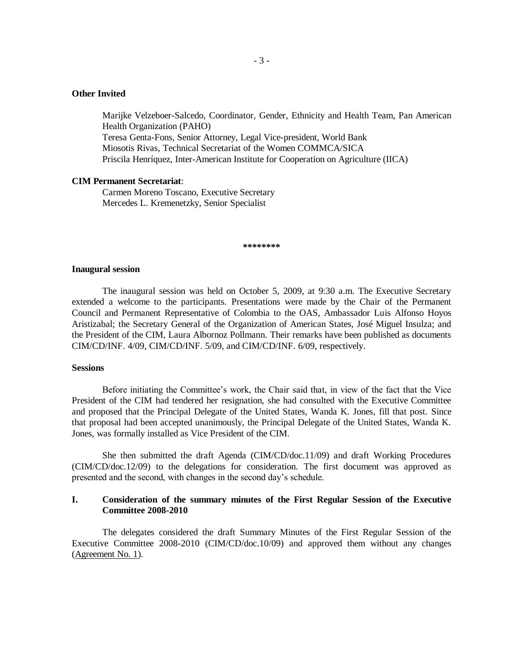## **Other Invited**

Marijke Velzeboer-Salcedo, Coordinator, Gender, Ethnicity and Health Team, Pan American Health Organization (PAHO) Teresa Genta-Fons, Senior Attorney, Legal Vice-president, World Bank Miosotis Rivas, Technical Secretariat of the Women COMMCA/SICA Priscila Henríquez, Inter-American Institute for Cooperation on Agriculture (IICA)

#### **CIM Permanent Secretariat**:

Carmen Moreno Toscano, Executive Secretary Mercedes L. Kremenetzky, Senior Specialist

**\*\*\*\*\*\*\*\***

#### **Inaugural session**

The inaugural session was held on October 5, 2009, at 9:30 a.m. The Executive Secretary extended a welcome to the participants. Presentations were made by the Chair of the Permanent Council and Permanent Representative of Colombia to the OAS, Ambassador Luis Alfonso Hoyos Aristizabal; the Secretary General of the Organization of American States, José Miguel Insulza; and the President of the CIM, Laura Albornoz Pollmann. Their remarks have been published as documents CIM/CD/INF. 4/09, CIM/CD/INF. 5/09, and CIM/CD/INF. 6/09, respectively.

#### **Sessions**

Before initiating the Committee's work, the Chair said that, in view of the fact that the Vice President of the CIM had tendered her resignation, she had consulted with the Executive Committee and proposed that the Principal Delegate of the United States, Wanda K. Jones, fill that post. Since that proposal had been accepted unanimously, the Principal Delegate of the United States, Wanda K. Jones, was formally installed as Vice President of the CIM.

She then submitted the draft Agenda (CIM/CD/doc.11/09) and draft Working Procedures (CIM/CD/doc.12/09) to the delegations for consideration. The first document was approved as presented and the second, with changes in the second day's schedule.

## **I. Consideration of the summary minutes of the First Regular Session of the Executive Committee 2008-2010**

The delegates considered the draft Summary Minutes of the First Regular Session of the Executive Committee 2008-2010 (CIM/CD/doc.10/09) and approved them without any changes (Agreement No. 1).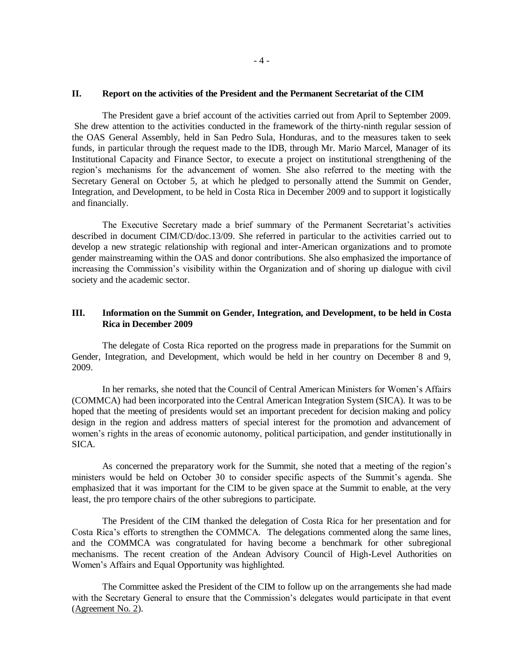#### **II. Report on the activities of the President and the Permanent Secretariat of the CIM**

The President gave a brief account of the activities carried out from April to September 2009. She drew attention to the activities conducted in the framework of the thirty-ninth regular session of the OAS General Assembly, held in San Pedro Sula, Honduras, and to the measures taken to seek funds, in particular through the request made to the IDB, through Mr. Mario Marcel, Manager of its Institutional Capacity and Finance Sector, to execute a project on institutional strengthening of the region's mechanisms for the advancement of women. She also referred to the meeting with the Secretary General on October 5, at which he pledged to personally attend the Summit on Gender, Integration, and Development, to be held in Costa Rica in December 2009 and to support it logistically and financially.

The Executive Secretary made a brief summary of the Permanent Secretariat's activities described in document CIM/CD/doc.13/09. She referred in particular to the activities carried out to develop a new strategic relationship with regional and inter-American organizations and to promote gender mainstreaming within the OAS and donor contributions. She also emphasized the importance of increasing the Commission's visibility within the Organization and of shoring up dialogue with civil society and the academic sector.

## **III. Information on the Summit on Gender, Integration, and Development, to be held in Costa Rica in December 2009**

The delegate of Costa Rica reported on the progress made in preparations for the Summit on Gender, Integration, and Development, which would be held in her country on December 8 and 9, 2009.

In her remarks, she noted that the Council of Central American Ministers for Women's Affairs (COMMCA) had been incorporated into the Central American Integration System (SICA). It was to be hoped that the meeting of presidents would set an important precedent for decision making and policy design in the region and address matters of special interest for the promotion and advancement of women's rights in the areas of economic autonomy, political participation, and gender institutionally in SICA.

As concerned the preparatory work for the Summit, she noted that a meeting of the region's ministers would be held on October 30 to consider specific aspects of the Summit's agenda. She emphasized that it was important for the CIM to be given space at the Summit to enable, at the very least, the pro tempore chairs of the other subregions to participate.

The President of the CIM thanked the delegation of Costa Rica for her presentation and for Costa Rica's efforts to strengthen the COMMCA. The delegations commented along the same lines, and the COMMCA was congratulated for having become a benchmark for other subregional mechanisms. The recent creation of the Andean Advisory Council of High-Level Authorities on Women's Affairs and Equal Opportunity was highlighted.

The Committee asked the President of the CIM to follow up on the arrangements she had made with the Secretary General to ensure that the Commission's delegates would participate in that event (Agreement No. 2).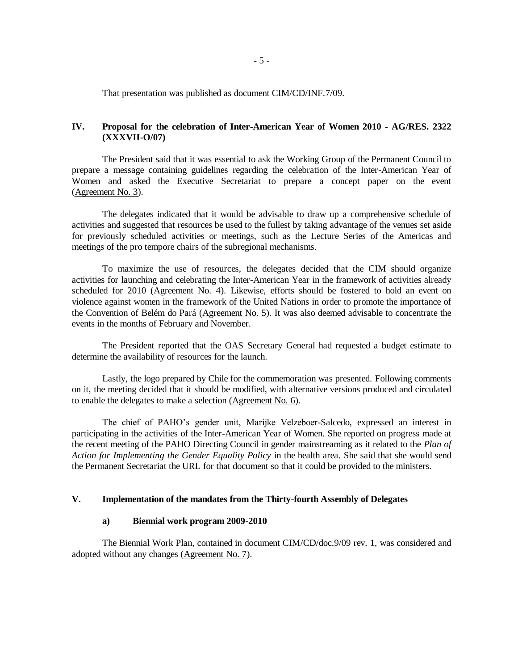That presentation was published as document CIM/CD/INF.7/09.

## **IV. Proposal for the celebration of Inter-American Year of Women 2010 - AG/RES. 2322 (XXXVII-O/07)**

The President said that it was essential to ask the Working Group of the Permanent Council to prepare a message containing guidelines regarding the celebration of the Inter-American Year of Women and asked the Executive Secretariat to prepare a concept paper on the event (Agreement No. 3).

The delegates indicated that it would be advisable to draw up a comprehensive schedule of activities and suggested that resources be used to the fullest by taking advantage of the venues set aside for previously scheduled activities or meetings, such as the Lecture Series of the Americas and meetings of the pro tempore chairs of the subregional mechanisms.

To maximize the use of resources, the delegates decided that the CIM should organize activities for launching and celebrating the Inter-American Year in the framework of activities already scheduled for 2010 (Agreement No. 4). Likewise, efforts should be fostered to hold an event on violence against women in the framework of the United Nations in order to promote the importance of the Convention of Belém do Pará (Agreement No. 5). It was also deemed advisable to concentrate the events in the months of February and November.

The President reported that the OAS Secretary General had requested a budget estimate to determine the availability of resources for the launch.

Lastly, the logo prepared by Chile for the commemoration was presented. Following comments on it, the meeting decided that it should be modified, with alternative versions produced and circulated to enable the delegates to make a selection (Agreement No. 6).

The chief of PAHO's gender unit, Marijke Velzeboer-Salcedo, expressed an interest in participating in the activities of the Inter-American Year of Women. She reported on progress made at the recent meeting of the PAHO Directing Council in gender mainstreaming as it related to the *Plan of Action for Implementing the Gender Equality Policy* in the health area. She said that she would send the Permanent Secretariat the URL for that document so that it could be provided to the ministers.

### **V. Implementation of the mandates from the Thirty-fourth Assembly of Delegates**

### **a) Biennial work program 2009-2010**

The Biennial Work Plan, contained in document CIM/CD/doc.9/09 rev. 1, was considered and adopted without any changes (Agreement No. 7).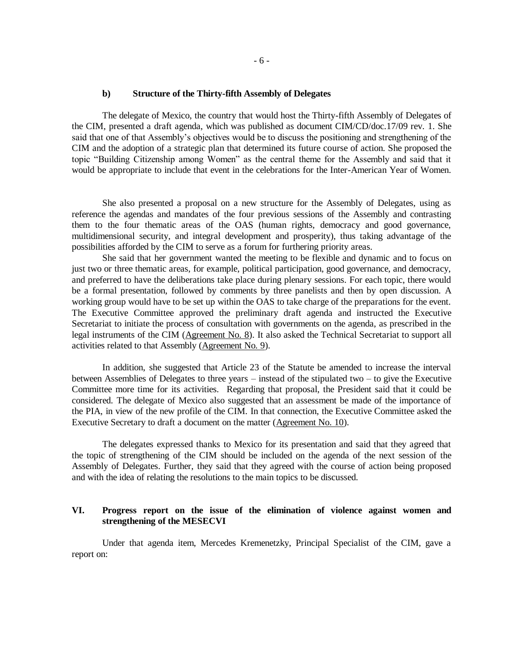#### **b) Structure of the Thirty-fifth Assembly of Delegates**

The delegate of Mexico, the country that would host the Thirty-fifth Assembly of Delegates of the CIM, presented a draft agenda, which was published as document CIM/CD/doc.17/09 rev. 1. She said that one of that Assembly's objectives would be to discuss the positioning and strengthening of the CIM and the adoption of a strategic plan that determined its future course of action. She proposed the topic "Building Citizenship among Women" as the central theme for the Assembly and said that it would be appropriate to include that event in the celebrations for the Inter-American Year of Women.

She also presented a proposal on a new structure for the Assembly of Delegates, using as reference the agendas and mandates of the four previous sessions of the Assembly and contrasting them to the four thematic areas of the OAS (human rights, democracy and good governance, multidimensional security, and integral development and prosperity), thus taking advantage of the possibilities afforded by the CIM to serve as a forum for furthering priority areas.

She said that her government wanted the meeting to be flexible and dynamic and to focus on just two or three thematic areas, for example, political participation, good governance, and democracy, and preferred to have the deliberations take place during plenary sessions. For each topic, there would be a formal presentation, followed by comments by three panelists and then by open discussion. A working group would have to be set up within the OAS to take charge of the preparations for the event. The Executive Committee approved the preliminary draft agenda and instructed the Executive Secretariat to initiate the process of consultation with governments on the agenda, as prescribed in the legal instruments of the CIM (Agreement No. 8). It also asked the Technical Secretariat to support all activities related to that Assembly (Agreement No. 9).

In addition, she suggested that Article 23 of the Statute be amended to increase the interval between Assemblies of Delegates to three years – instead of the stipulated two – to give the Executive Committee more time for its activities. Regarding that proposal, the President said that it could be considered. The delegate of Mexico also suggested that an assessment be made of the importance of the PIA, in view of the new profile of the CIM. In that connection, the Executive Committee asked the Executive Secretary to draft a document on the matter (Agreement No. 10).

The delegates expressed thanks to Mexico for its presentation and said that they agreed that the topic of strengthening of the CIM should be included on the agenda of the next session of the Assembly of Delegates. Further, they said that they agreed with the course of action being proposed and with the idea of relating the resolutions to the main topics to be discussed.

### **VI. Progress report on the issue of the elimination of violence against women and strengthening of the MESECVI**

Under that agenda item, Mercedes Kremenetzky, Principal Specialist of the CIM, gave a report on: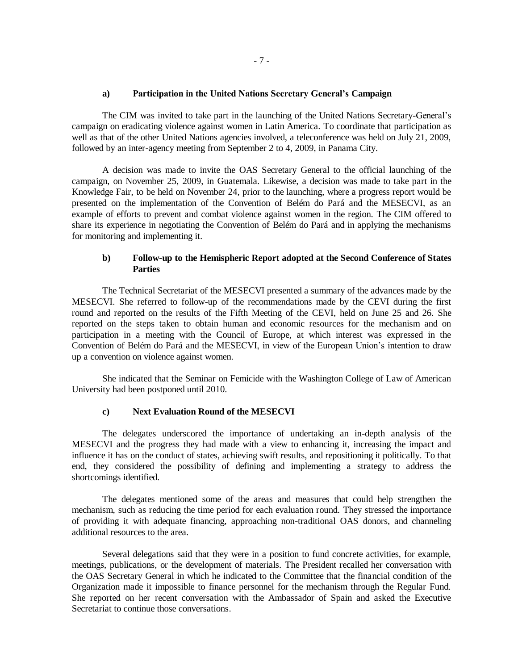### **a) Participation in the United Nations Secretary General's Campaign**

The CIM was invited to take part in the launching of the United Nations Secretary-General's campaign on eradicating violence against women in Latin America. To coordinate that participation as well as that of the other United Nations agencies involved, a teleconference was held on July 21, 2009, followed by an inter-agency meeting from September 2 to 4, 2009, in Panama City.

A decision was made to invite the OAS Secretary General to the official launching of the campaign, on November 25, 2009, in Guatemala. Likewise, a decision was made to take part in the Knowledge Fair, to be held on November 24, prior to the launching, where a progress report would be presented on the implementation of the Convention of Belém do Pará and the MESECVI, as an example of efforts to prevent and combat violence against women in the region. The CIM offered to share its experience in negotiating the Convention of Belém do Pará and in applying the mechanisms for monitoring and implementing it.

### **b) Follow-up to the Hemispheric Report adopted at the Second Conference of States Parties**

The Technical Secretariat of the MESECVI presented a summary of the advances made by the MESECVI. She referred to follow-up of the recommendations made by the CEVI during the first round and reported on the results of the Fifth Meeting of the CEVI, held on June 25 and 26. She reported on the steps taken to obtain human and economic resources for the mechanism and on participation in a meeting with the Council of Europe, at which interest was expressed in the Convention of Belém do Pará and the MESECVI, in view of the European Union's intention to draw up a convention on violence against women.

She indicated that the Seminar on Femicide with the Washington College of Law of American University had been postponed until 2010.

#### **c) Next Evaluation Round of the MESECVI**

The delegates underscored the importance of undertaking an in-depth analysis of the MESECVI and the progress they had made with a view to enhancing it, increasing the impact and influence it has on the conduct of states, achieving swift results, and repositioning it politically. To that end, they considered the possibility of defining and implementing a strategy to address the shortcomings identified.

The delegates mentioned some of the areas and measures that could help strengthen the mechanism, such as reducing the time period for each evaluation round. They stressed the importance of providing it with adequate financing, approaching non-traditional OAS donors, and channeling additional resources to the area.

Several delegations said that they were in a position to fund concrete activities, for example, meetings, publications, or the development of materials. The President recalled her conversation with the OAS Secretary General in which he indicated to the Committee that the financial condition of the Organization made it impossible to finance personnel for the mechanism through the Regular Fund. She reported on her recent conversation with the Ambassador of Spain and asked the Executive Secretariat to continue those conversations.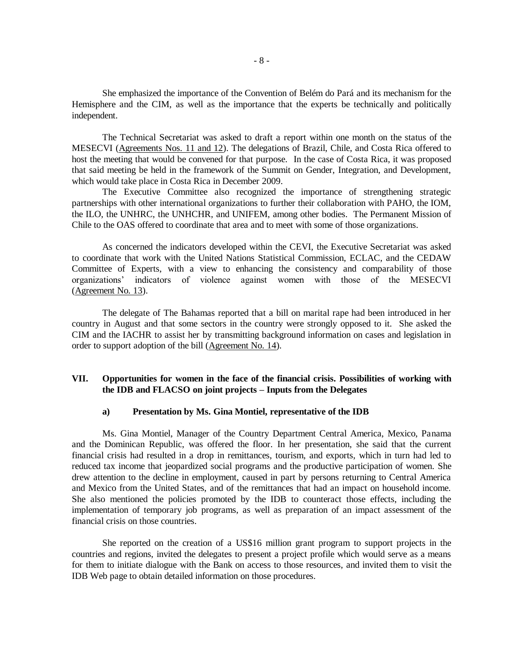She emphasized the importance of the Convention of Belém do Pará and its mechanism for the Hemisphere and the CIM, as well as the importance that the experts be technically and politically independent.

The Technical Secretariat was asked to draft a report within one month on the status of the MESECVI (Agreements Nos. 11 and 12). The delegations of Brazil, Chile, and Costa Rica offered to host the meeting that would be convened for that purpose. In the case of Costa Rica, it was proposed that said meeting be held in the framework of the Summit on Gender, Integration, and Development, which would take place in Costa Rica in December 2009.

The Executive Committee also recognized the importance of strengthening strategic partnerships with other international organizations to further their collaboration with PAHO, the IOM, the ILO, the UNHRC, the UNHCHR, and UNIFEM, among other bodies. The Permanent Mission of Chile to the OAS offered to coordinate that area and to meet with some of those organizations.

As concerned the indicators developed within the CEVI, the Executive Secretariat was asked to coordinate that work with the United Nations Statistical Commission, ECLAC, and the CEDAW Committee of Experts, with a view to enhancing the consistency and comparability of those organizations' indicators of violence against women with those of the MESECVI (Agreement No. 13).

The delegate of The Bahamas reported that a bill on marital rape had been introduced in her country in August and that some sectors in the country were strongly opposed to it. She asked the CIM and the IACHR to assist her by transmitting background information on cases and legislation in order to support adoption of the bill (Agreement No. 14).

## **VII. Opportunities for women in the face of the financial crisis. Possibilities of working with the IDB and FLACSO on joint projects – Inputs from the Delegates**

#### **a) Presentation by Ms. Gina Montiel, representative of the IDB**

Ms. Gina Montiel, Manager of the Country Department Central America, Mexico, Panama and the Dominican Republic, was offered the floor. In her presentation, she said that the current financial crisis had resulted in a drop in remittances, tourism, and exports, which in turn had led to reduced tax income that jeopardized social programs and the productive participation of women. She drew attention to the decline in employment, caused in part by persons returning to Central America and Mexico from the United States, and of the remittances that had an impact on household income. She also mentioned the policies promoted by the IDB to counteract those effects, including the implementation of temporary job programs, as well as preparation of an impact assessment of the financial crisis on those countries.

She reported on the creation of a US\$16 million grant program to support projects in the countries and regions, invited the delegates to present a project profile which would serve as a means for them to initiate dialogue with the Bank on access to those resources, and invited them to visit the IDB Web page to obtain detailed information on those procedures.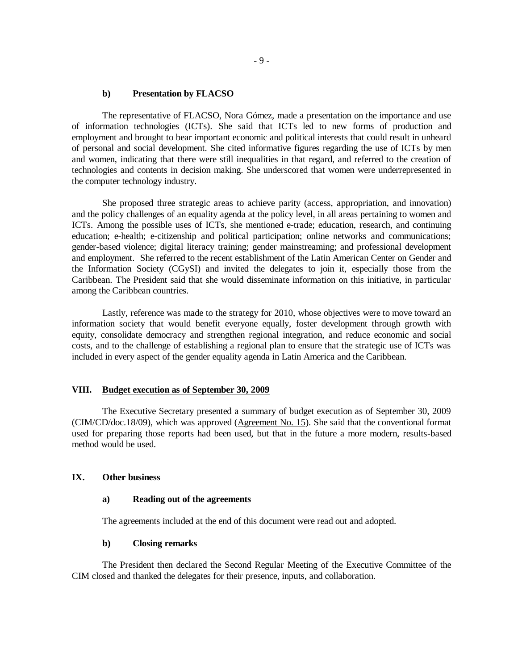#### **b) Presentation by FLACSO**

The representative of FLACSO, Nora Gómez, made a presentation on the importance and use of information technologies (ICTs). She said that ICTs led to new forms of production and employment and brought to bear important economic and political interests that could result in unheard of personal and social development. She cited informative figures regarding the use of ICTs by men and women, indicating that there were still inequalities in that regard, and referred to the creation of technologies and contents in decision making. She underscored that women were underrepresented in the computer technology industry.

She proposed three strategic areas to achieve parity (access, appropriation, and innovation) and the policy challenges of an equality agenda at the policy level, in all areas pertaining to women and ICTs. Among the possible uses of ICTs, she mentioned e-trade; education, research, and continuing education; e-health; e-citizenship and political participation; online networks and communications; gender-based violence; digital literacy training; gender mainstreaming; and professional development and employment. She referred to the recent establishment of the Latin American Center on Gender and the Information Society (CGySI) and invited the delegates to join it, especially those from the Caribbean. The President said that she would disseminate information on this initiative, in particular among the Caribbean countries.

Lastly, reference was made to the strategy for 2010, whose objectives were to move toward an information society that would benefit everyone equally, foster development through growth with equity, consolidate democracy and strengthen regional integration, and reduce economic and social costs, and to the challenge of establishing a regional plan to ensure that the strategic use of ICTs was included in every aspect of the gender equality agenda in Latin America and the Caribbean.

#### **VIII. Budget execution as of September 30, 2009**

The Executive Secretary presented a summary of budget execution as of September 30, 2009 (CIM/CD/doc.18/09), which was approved (Agreement No. 15). She said that the conventional format used for preparing those reports had been used, but that in the future a more modern, results-based method would be used.

### **IX. Other business**

#### **a) Reading out of the agreements**

The agreements included at the end of this document were read out and adopted.

#### **b) Closing remarks**

The President then declared the Second Regular Meeting of the Executive Committee of the CIM closed and thanked the delegates for their presence, inputs, and collaboration.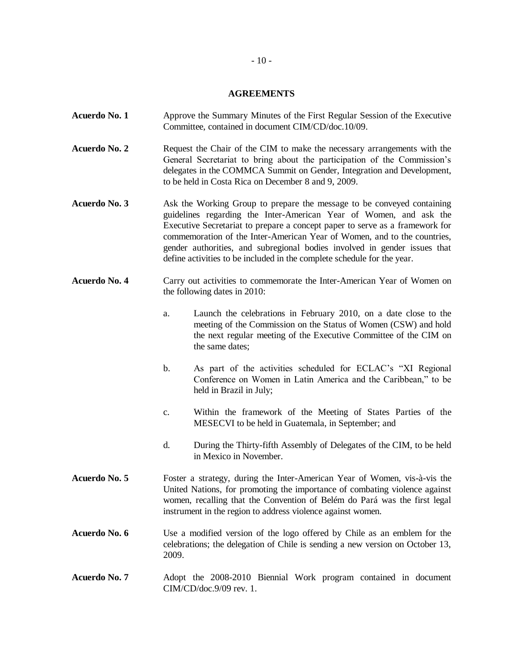## **AGREEMENTS**

| Acuerdo No. 1 | Approve the Summary Minutes of the First Regular Session of the Executive<br>Committee, contained in document CIM/CD/doc.10/09.                                                                                                                                                                                                                                                                                                                                  |
|---------------|------------------------------------------------------------------------------------------------------------------------------------------------------------------------------------------------------------------------------------------------------------------------------------------------------------------------------------------------------------------------------------------------------------------------------------------------------------------|
| Acuerdo No. 2 | Request the Chair of the CIM to make the necessary arrangements with the<br>General Secretariat to bring about the participation of the Commission's<br>delegates in the COMMCA Summit on Gender, Integration and Development,<br>to be held in Costa Rica on December 8 and 9, 2009.                                                                                                                                                                            |
| Acuerdo No. 3 | Ask the Working Group to prepare the message to be conveyed containing<br>guidelines regarding the Inter-American Year of Women, and ask the<br>Executive Secretariat to prepare a concept paper to serve as a framework for<br>commemoration of the Inter-American Year of Women, and to the countries,<br>gender authorities, and subregional bodies involved in gender issues that<br>define activities to be included in the complete schedule for the year. |
| Acuerdo No. 4 | Carry out activities to commemorate the Inter-American Year of Women on<br>the following dates in 2010:                                                                                                                                                                                                                                                                                                                                                          |
|               | Launch the celebrations in February 2010, on a date close to the<br>a.<br>meeting of the Commission on the Status of Women (CSW) and hold<br>the next regular meeting of the Executive Committee of the CIM on<br>the same dates;                                                                                                                                                                                                                                |
|               | As part of the activities scheduled for ECLAC's "XI Regional<br>$\mathbf b$ .<br>Conference on Women in Latin America and the Caribbean," to be<br>held in Brazil in July;                                                                                                                                                                                                                                                                                       |
|               | Within the framework of the Meeting of States Parties of the<br>$\mathbf{C}$ .<br>MESECVI to be held in Guatemala, in September; and                                                                                                                                                                                                                                                                                                                             |
|               | d.<br>During the Thirty-fifth Assembly of Delegates of the CIM, to be held<br>in Mexico in November.                                                                                                                                                                                                                                                                                                                                                             |
| Acuerdo No. 5 | Foster a strategy, during the Inter-American Year of Women, vis-à-vis the<br>United Nations, for promoting the importance of combating violence against<br>women, recalling that the Convention of Belém do Pará was the first legal<br>instrument in the region to address violence against women.                                                                                                                                                              |
| Acuerdo No. 6 | Use a modified version of the logo offered by Chile as an emblem for the<br>celebrations; the delegation of Chile is sending a new version on October 13,<br>2009.                                                                                                                                                                                                                                                                                               |
| Acuerdo No. 7 | Adopt the 2008-2010 Biennial Work program contained in document<br>CIM/CD/doc.9/09 rev. 1.                                                                                                                                                                                                                                                                                                                                                                       |